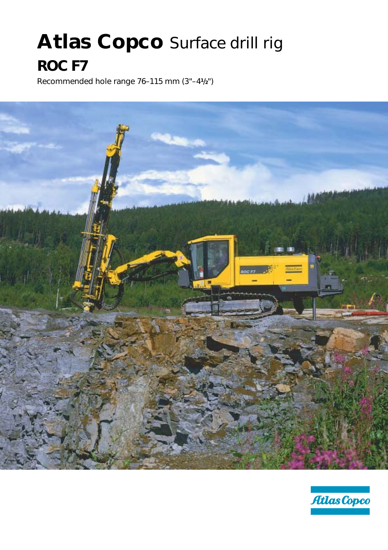# Atlas Copco Surface drill rig **ROC F7**

Recommended hole range 76–115 mm (3"–4**1**/**2**")



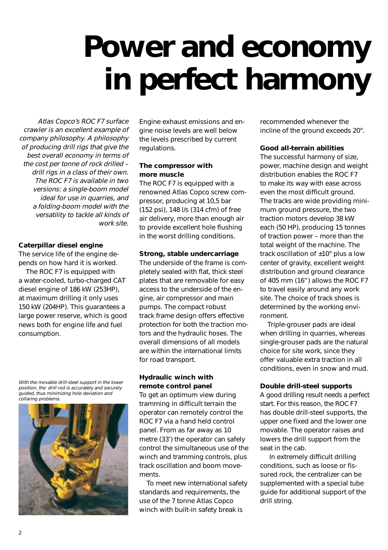# **Power and economy in perfect harmony**

Atlas Copco's ROC F7 surface crawler is an excellent example of company philosophy. A philosophy of producing drill rigs that give the best overall economy in terms of the cost per tonne of rock drilled – drill rigs in a class of their own. The ROC F7 is available in two versions: a single-boom model ideal for use in quarries, and a folding-boom model with the versatility to tackle all kinds of work site.

### **Caterpillar diesel engine**

The service life of the engine depends on how hard it is worked.

The ROC F7 is equipped with a water-cooled, turbo-charged CAT diesel engine of 186 kW (253HP), at maximum drilling it only uses 150 kW (204HP). This guarantees a large power reserve, which is good news both for engine life and fuel consumption.

With the movable drill-steel support in the lower position, the drill rod is accurately and securely guided, thus minimizing hole deviation and collaring problems.



Engine exhaust emissions and engine noise levels are well below the levels prescribed by current regulations.

### **The compressor with more muscle**

The ROC F7 is equipped with a renowned Atlas Copco screw compressor, producing at 10,5 bar (152 psi), 148 l/s (314 cfm) of free air delivery, more than enough air to provide excellent hole flushing in the worst drilling conditions.

### **Strong, stable undercarriage**

The underside of the frame is completely sealed with flat, thick steel plates that are removable for easy access to the underside of the engine, air compressor and main pumps. The compact robust track frame design offers effective protection for both the traction motors and the hydraulic hoses. The overall dimensions of all models are within the international limits for road transport.

### **Hydraulic winch with remote control panel**

To get an optimum view during tramming in difficult terrain the operator can remotely control the ROC F7 via a hand held control panel. From as far away as 10 metre (33') the operator can safely control the simultaneous use of the winch and tramming controls, plus track oscillation and boom movements.

To meet new international safety standards and requirements, the use of the 7 tonne Atlas Copco winch with built-in safety break is

recommended whenever the incline of the ground exceeds 20°.

### **Good all-terrain abilities**

The successful harmony of size, power, machine design and weight distribution enables the ROC F7 to make its way with ease across even the most difficult ground. The tracks are wide providing minimum ground pressure, the two traction motors develop 38 kW each (50 HP), producing 15 tonnes of traction power – more than the total weight of the machine. The track oscillation of  $\pm 10^\circ$  plus a low center of gravity, excellent weight distribution and ground clearance of 405 mm (16") allows the ROC F7 to travel easily around any work site. The choice of track shoes is determined by the working environment.

Triple-grouser pads are ideal when drilling in quarries, whereas single-grouser pads are the natural choice for site work, since they offer valuable extra traction in all conditions, even in snow and mud.

### **Double drill-steel supports**

A good drilling result needs a perfect start. For this reason, the ROC F7 has double drill-steel supports, the upper one fixed and the lower one movable. The operator raises and lowers the drill support from the seat in the cab.

In extremely difficult drilling conditions, such as loose or fissured rock, the centralizer can be supplemented with a special tube guide for additional support of the drill string.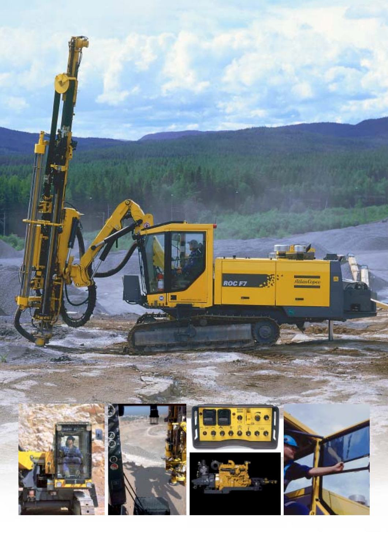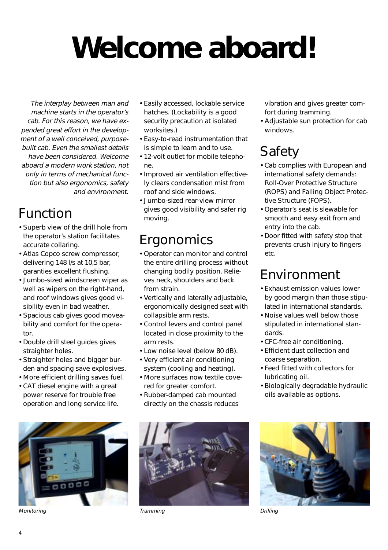# **Welcome aboard!**

The interplay between man and machine starts in the operator's cab. For this reason, we have expended great effort in the development of a well conceived, purposebuilt cab. Even the smallest details have been considered. Welcome aboard a modern work station, not only in terms of mechanical function but also ergonomics, safety and environment.

## Function

- Superb view of the drill hole from the operator's station facilitates accurate collaring.
- Atlas Copco screw compressor, delivering 148 l/s at 10,5 bar, garanties excellent flushing.
- Jumbo-sized windscreen wiper as well as wipers on the right-hand, and roof windows gives good visibility even in bad weather.
- Spacious cab gives good moveability and comfort for the operator.
- Double drill steel guides gives straighter holes.
- Straighter holes and bigger burden and spacing save explosives.
- More efficient drilling saves fuel.
- CAT diesel engine with a great power reserve for trouble free operation and long service life.



- Easily accessed, lockable service hatches. (Lockability is a good security precaution at isolated worksites.)
- Easy-to-read instrumentation that is simple to learn and to use.
- 12-volt outlet for mobile telephone.
- Improved air ventilation effectively clears condensation mist from roof and side windows.
- Jumbo-sized rear-view mirror gives good visibility and safer rig moving.

## Ergonomics

- Operator can monitor and control the entire drilling process without changing bodily position. Relieves neck, shoulders and back from strain.
- Vertically and laterally adjustable, ergonomically designed seat with collapsible arm rests.
- Control levers and control panel located in close proximity to the arm rests.
- Low noise level (below 80 dB).
- Very efficient air conditioning system (cooling and heating).
- More surfaces now textile covered for greater comfort.
- Rubber-damped cab mounted directly on the chassis reduces

vibration and gives greater comfort during tramming.

• Adjustable sun protection for cab windows.

## Safety

- Cab complies with European and international safety demands: Roll-Over Protective Structure (ROPS) and Falling Object Protective Structure (FOPS).
- Operator's seat is slewable for smooth and easy exit from and entry into the cab.
- Door fitted with safety stop that prevents crush injury to fingers etc.

### Environment

- Exhaust emission values lower by good margin than those stipulated in international standards.
- Noise values well below those stipulated in international standards.
- CFC-free air conditioning.
- Efficient dust collection and coarse separation.
- Feed fitted with collectors for lubricating oil.
- Biologically degradable hydraulic oils available as options.



Monitoring **Tramming Tramming Constanting** *Drilling* 

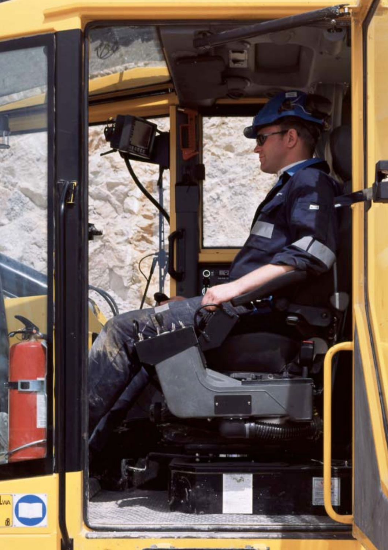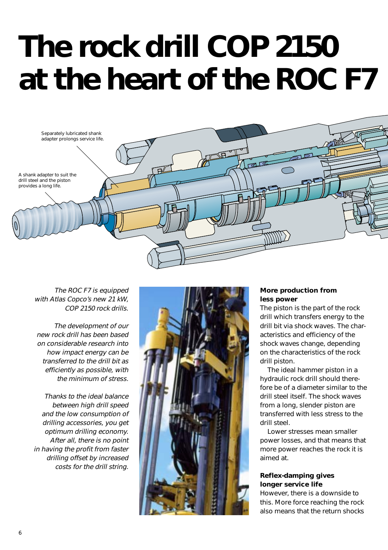# **The rock drill COP 2150 at the heart of the ROC F7**



The ROC F7 is equipped with Atlas Copco's new 21 kW, COP 2150 rock drills.

The development of our new rock drill has been based on considerable research into how impact energy can be transferred to the drill bit as efficiently as possible, with the minimum of stress.

Thanks to the ideal balance between high drill speed and the low consumption of drilling accessories, you get optimum drilling economy. After all, there is no point in having the profit from faster drilling offset by increased costs for the drill string.



### **More production from less power**

The piston is the part of the rock drill which transfers energy to the drill bit via shock waves. The characteristics and efficiency of the shock waves change, depending on the characteristics of the rock drill piston.

The ideal hammer piston in a hydraulic rock drill should therefore be of a diameter similar to the drill steel itself. The shock waves from a long, slender piston are transferred with less stress to the drill steel.

Lower stresses mean smaller power losses, and that means that more power reaches the rock it is aimed at.

### **Reflex-damping gives longer service life**

However, there is a downside to this. More force reaching the rock also means that the return shocks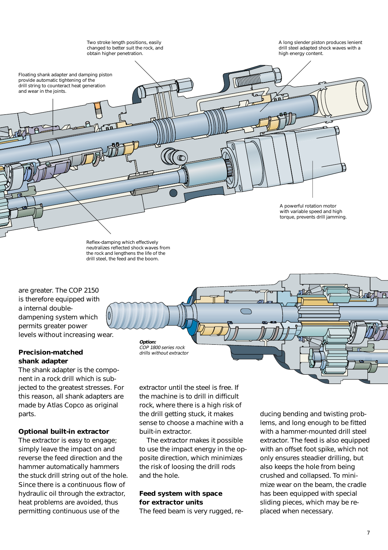

Reflex-damping which effectively neutralizes reflected shock waves from the rock and lengthens the life of the drill steel, the feed and the boom.

are greater. The COP 2150 is therefore equipped with a internal doubledampening system which permits greater power levels without increasing wear.

### **Precision-matched shank adapter**

The shank adapter is the component in a rock drill which is subjected to the greatest stresses. For this reason, all shank adapters are made by Atlas Copco as original parts.

### **Optional built-in extractor**

The extractor is easy to engage; simply leave the impact on and reverse the feed direction and the hammer automatically hammers the stuck drill string out of the hole. Since there is a continuous flow of hydraulic oil through the extractor, heat problems are avoided, thus permitting continuous use of the

**Option:** COP 1800 series rock drills without extractor

extractor until the steel is free. If the machine is to drill in difficult rock, where there is a high risk of the drill getting stuck, it makes sense to choose a machine with a built-in extractor.

The extractor makes it possible to use the impact energy in the opposite direction, which minimizes the risk of loosing the drill rods and the hole.

### **Feed system with space for extractor units**

The feed beam is very rugged, re-

ducing bending and twisting problems, and long enough to be fitted with a hammer-mounted drill steel extractor. The feed is also equipped with an offset foot spike, which not only ensures steadier drilling, but also keeps the hole from being crushed and collapsed. To minimize wear on the beam, the cradle has been equipped with special sliding pieces, which may be replaced when necessary.